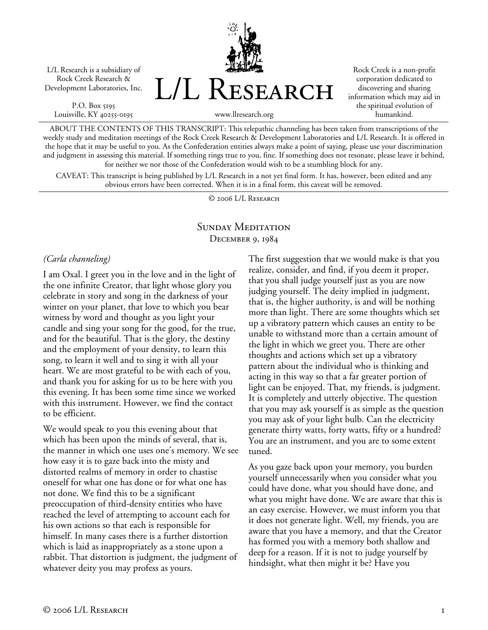L/L Research is a subsidiary of Rock Creek Research & Development Laboratories, Inc.

P.O. Box 5195 Louisville, KY 40255-0195 L/L Research

Rock Creek is a non-profit corporation dedicated to discovering and sharing information which may aid in the spiritual evolution of humankind.

ABOUT THE CONTENTS OF THIS TRANSCRIPT: This telepathic channeling has been taken from transcriptions of the weekly study and meditation meetings of the Rock Creek Research & Development Laboratories and L/L Research. It is offered in the hope that it may be useful to you. As the Confederation entities always make a point of saying, please use your discrimination and judgment in assessing this material. If something rings true to you, fine. If something does not resonate, please leave it behind, for neither we nor those of the Confederation would wish to be a stumbling block for any.

www.llresearch.org

CAVEAT: This transcript is being published by L/L Research in a not yet final form. It has, however, been edited and any obvious errors have been corrected. When it is in a final form, this caveat will be removed.

© 2006 L/L Research

## SUNDAY MEDITATION December 9, 1984

## *(Carla channeling)*

I am Oxal. I greet you in the love and in the light of the one infinite Creator, that light whose glory you celebrate in story and song in the darkness of your winter on your planet, that love to which you bear witness by word and thought as you light your candle and sing your song for the good, for the true, and for the beautiful. That is the glory, the destiny and the employment of your density, to learn this song, to learn it well and to sing it with all your heart. We are most grateful to be with each of you, and thank you for asking for us to be here with you this evening. It has been some time since we worked with this instrument. However, we find the contact to be efficient.

We would speak to you this evening about that which has been upon the minds of several, that is, the manner in which one uses one's memory. We see how easy it is to gaze back into the misty and distorted realms of memory in order to chastise oneself for what one has done or for what one has not done. We find this to be a significant preoccupation of third-density entities who have reached the level of attempting to account each for his own actions so that each is responsible for himself. In many cases there is a further distortion which is laid as inappropriately as a stone upon a rabbit. That distortion is judgment, the judgment of whatever deity you may profess as yours.

The first suggestion that we would make is that you realize, consider, and find, if you deem it proper, that you shall judge yourself just as you are now judging yourself. The deity implied in judgment, that is, the higher authority, is and will be nothing more than light. There are some thoughts which set up a vibratory pattern which causes an entity to be unable to withstand more than a certain amount of the light in which we greet you. There are other thoughts and actions which set up a vibratory pattern about the individual who is thinking and acting in this way so that a far greater portion of light can be enjoyed. That, my friends, is judgment. It is completely and utterly objective. The question that you may ask yourself is as simple as the question you may ask of your light bulb. Can the electricity generate thirty watts, forty watts, fifty or a hundred? You are an instrument, and you are to some extent tuned.

As you gaze back upon your memory, you burden yourself unnecessarily when you consider what you could have done, what you should have done, and what you might have done. We are aware that this is an easy exercise. However, we must inform you that it does not generate light. Well, my friends, you are aware that you have a memory, and that the Creator has formed you with a memory both shallow and deep for a reason. If it is not to judge yourself by hindsight, what then might it be? Have you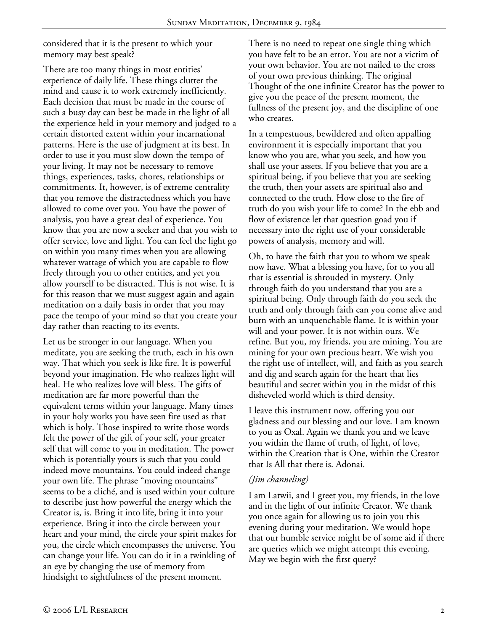considered that it is the present to which your memory may best speak?

There are too many things in most entities' experience of daily life. These things clutter the mind and cause it to work extremely inefficiently. Each decision that must be made in the course of such a busy day can best be made in the light of all the experience held in your memory and judged to a certain distorted extent within your incarnational patterns. Here is the use of judgment at its best. In order to use it you must slow down the tempo of your living. It may not be necessary to remove things, experiences, tasks, chores, relationships or commitments. It, however, is of extreme centrality that you remove the distractedness which you have allowed to come over you. You have the power of analysis, you have a great deal of experience. You know that you are now a seeker and that you wish to offer service, love and light. You can feel the light go on within you many times when you are allowing whatever wattage of which you are capable to flow freely through you to other entities, and yet you allow yourself to be distracted. This is not wise. It is for this reason that we must suggest again and again meditation on a daily basis in order that you may pace the tempo of your mind so that you create your day rather than reacting to its events.

Let us be stronger in our language. When you meditate, you are seeking the truth, each in his own way. That which you seek is like fire. It is powerful beyond your imagination. He who realizes light will heal. He who realizes love will bless. The gifts of meditation are far more powerful than the equivalent terms within your language. Many times in your holy works you have seen fire used as that which is holy. Those inspired to write those words felt the power of the gift of your self, your greater self that will come to you in meditation. The power which is potentially yours is such that you could indeed move mountains. You could indeed change your own life. The phrase "moving mountains" seems to be a cliché, and is used within your culture to describe just how powerful the energy which the Creator is, is. Bring it into life, bring it into your experience. Bring it into the circle between your heart and your mind, the circle your spirit makes for you, the circle which encompasses the universe. You can change your life. You can do it in a twinkling of an eye by changing the use of memory from hindsight to sightfulness of the present moment.

There is no need to repeat one single thing which you have felt to be an error. You are not a victim of your own behavior. You are not nailed to the cross of your own previous thinking. The original Thought of the one infinite Creator has the power to give you the peace of the present moment, the fullness of the present joy, and the discipline of one who creates.

In a tempestuous, bewildered and often appalling environment it is especially important that you know who you are, what you seek, and how you shall use your assets. If you believe that you are a spiritual being, if you believe that you are seeking the truth, then your assets are spiritual also and connected to the truth. How close to the fire of truth do you wish your life to come? In the ebb and flow of existence let that question goad you if necessary into the right use of your considerable powers of analysis, memory and will.

Oh, to have the faith that you to whom we speak now have. What a blessing you have, for to you all that is essential is shrouded in mystery. Only through faith do you understand that you are a spiritual being. Only through faith do you seek the truth and only through faith can you come alive and burn with an unquenchable flame. It is within your will and your power. It is not within ours. We refine. But you, my friends, you are mining. You are mining for your own precious heart. We wish you the right use of intellect, will, and faith as you search and dig and search again for the heart that lies beautiful and secret within you in the midst of this disheveled world which is third density.

I leave this instrument now, offering you our gladness and our blessing and our love. I am known to you as Oxal. Again we thank you and we leave you within the flame of truth, of light, of love, within the Creation that is One, within the Creator that Is All that there is. Adonai.

## *(Jim channeling)*

I am Latwii, and I greet you, my friends, in the love and in the light of our infinite Creator. We thank you once again for allowing us to join you this evening during your meditation. We would hope that our humble service might be of some aid if there are queries which we might attempt this evening. May we begin with the first query?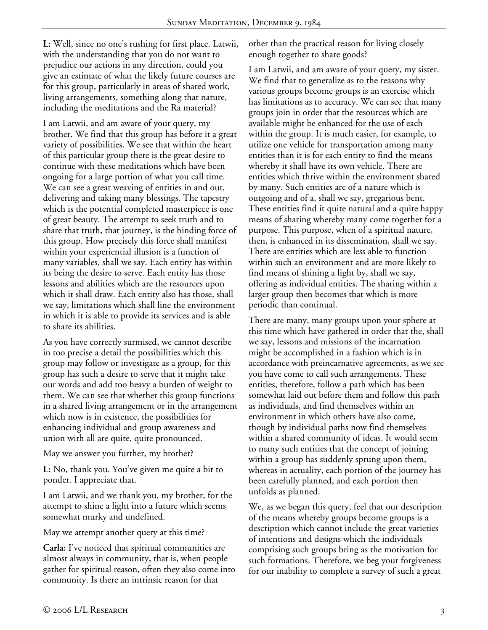**L:** Well, since no one's rushing for first place. Latwii, with the understanding that you do not want to prejudice our actions in any direction, could you give an estimate of what the likely future courses are for this group, particularly in areas of shared work, living arrangements, something along that nature, including the meditations and the Ra material?

I am Latwii, and am aware of your query, my brother. We find that this group has before it a great variety of possibilities. We see that within the heart of this particular group there is the great desire to continue with these meditations which have been ongoing for a large portion of what you call time. We can see a great weaving of entities in and out, delivering and taking many blessings. The tapestry which is the potential completed masterpiece is one of great beauty. The attempt to seek truth and to share that truth, that journey, is the binding force of this group. How precisely this force shall manifest within your experiential illusion is a function of many variables, shall we say. Each entity has within its being the desire to serve. Each entity has those lessons and abilities which are the resources upon which it shall draw. Each entity also has those, shall we say, limitations which shall line the environment in which it is able to provide its services and is able to share its abilities.

As you have correctly surmised, we cannot describe in too precise a detail the possibilities which this group may follow or investigate as a group, for this group has such a desire to serve that it might take our words and add too heavy a burden of weight to them. We can see that whether this group functions in a shared living arrangement or in the arrangement which now is in existence, the possibilities for enhancing individual and group awareness and union with all are quite, quite pronounced.

May we answer you further, my brother?

**L:** No, thank you. You've given me quite a bit to ponder. I appreciate that.

I am Latwii, and we thank you, my brother, for the attempt to shine a light into a future which seems somewhat murky and undefined.

May we attempt another query at this time?

**Carla:** I've noticed that spiritual communities are almost always in community, that is, when people gather for spiritual reason, often they also come into community. Is there an intrinsic reason for that

other than the practical reason for living closely enough together to share goods?

I am Latwii, and am aware of your query, my sister. We find that to generalize as to the reasons why various groups become groups is an exercise which has limitations as to accuracy. We can see that many groups join in order that the resources which are available might be enhanced for the use of each within the group. It is much easier, for example, to utilize one vehicle for transportation among many entities than it is for each entity to find the means whereby it shall have its own vehicle. There are entities which thrive within the environment shared by many. Such entities are of a nature which is outgoing and of a, shall we say, gregarious bent. These entities find it quite natural and a quite happy means of sharing whereby many come together for a purpose. This purpose, when of a spiritual nature, then, is enhanced in its dissemination, shall we say. There are entities which are less able to function within such an environment and are more likely to find means of shining a light by, shall we say, offering as individual entities. The sharing within a larger group then becomes that which is more periodic than continual.

There are many, many groups upon your sphere at this time which have gathered in order that the, shall we say, lessons and missions of the incarnation might be accomplished in a fashion which is in accordance with preincarnative agreements, as we see you have come to call such arrangements. These entities, therefore, follow a path which has been somewhat laid out before them and follow this path as individuals, and find themselves within an environment in which others have also come, though by individual paths now find themselves within a shared community of ideas. It would seem to many such entities that the concept of joining within a group has suddenly sprung upon them, whereas in actuality, each portion of the journey has been carefully planned, and each portion then unfolds as planned.

We, as we began this query, feel that our description of the means whereby groups become groups is a description which cannot include the great varieties of intentions and designs which the individuals comprising such groups bring as the motivation for such formations. Therefore, we beg your forgiveness for our inability to complete a survey of such a great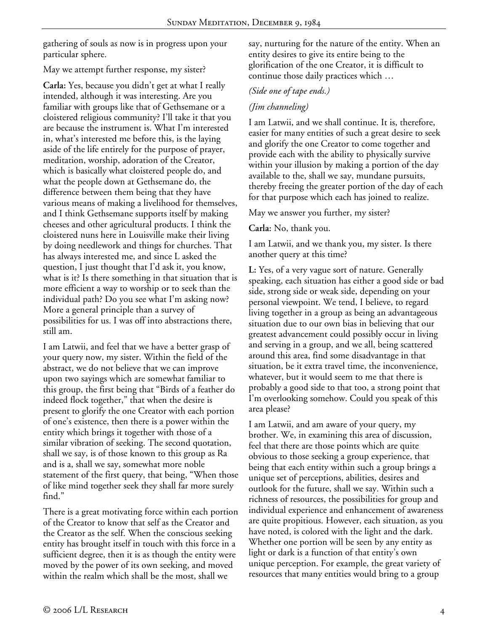gathering of souls as now is in progress upon your particular sphere.

## May we attempt further response, my sister?

**Carla:** Yes, because you didn't get at what I really intended, although it was interesting. Are you familiar with groups like that of Gethsemane or a cloistered religious community? I'll take it that you are because the instrument is. What I'm interested in, what's interested me before this, is the laying aside of the life entirely for the purpose of prayer, meditation, worship, adoration of the Creator, which is basically what cloistered people do, and what the people down at Gethsemane do, the difference between them being that they have various means of making a livelihood for themselves, and I think Gethsemane supports itself by making cheeses and other agricultural products. I think the cloistered nuns here in Louisville make their living by doing needlework and things for churches. That has always interested me, and since L asked the question, I just thought that I'd ask it, you know, what is it? Is there something in that situation that is more efficient a way to worship or to seek than the individual path? Do you see what I'm asking now? More a general principle than a survey of possibilities for us. I was off into abstractions there, still am.

I am Latwii, and feel that we have a better grasp of your query now, my sister. Within the field of the abstract, we do not believe that we can improve upon two sayings which are somewhat familiar to this group, the first being that "Birds of a feather do indeed flock together," that when the desire is present to glorify the one Creator with each portion of one's existence, then there is a power within the entity which brings it together with those of a similar vibration of seeking. The second quotation, shall we say, is of those known to this group as Ra and is a, shall we say, somewhat more noble statement of the first query, that being, "When those of like mind together seek they shall far more surely find."

There is a great motivating force within each portion of the Creator to know that self as the Creator and the Creator as the self. When the conscious seeking entity has brought itself in touch with this force in a sufficient degree, then it is as though the entity were moved by the power of its own seeking, and moved within the realm which shall be the most, shall we

say, nurturing for the nature of the entity. When an entity desires to give its entire being to the glorification of the one Creator, it is difficult to continue those daily practices which …

# *(Side one of tape ends.)*

# *(Jim channeling)*

I am Latwii, and we shall continue. It is, therefore, easier for many entities of such a great desire to seek and glorify the one Creator to come together and provide each with the ability to physically survive within your illusion by making a portion of the day available to the, shall we say, mundane pursuits, thereby freeing the greater portion of the day of each for that purpose which each has joined to realize.

May we answer you further, my sister?

**Carla:** No, thank you.

I am Latwii, and we thank you, my sister. Is there another query at this time?

**L:** Yes, of a very vague sort of nature. Generally speaking, each situation has either a good side or bad side, strong side or weak side, depending on your personal viewpoint. We tend, I believe, to regard living together in a group as being an advantageous situation due to our own bias in believing that our greatest advancement could possibly occur in living and serving in a group, and we all, being scattered around this area, find some disadvantage in that situation, be it extra travel time, the inconvenience, whatever, but it would seem to me that there is probably a good side to that too, a strong point that I'm overlooking somehow. Could you speak of this area please?

I am Latwii, and am aware of your query, my brother. We, in examining this area of discussion, feel that there are those points which are quite obvious to those seeking a group experience, that being that each entity within such a group brings a unique set of perceptions, abilities, desires and outlook for the future, shall we say. Within such a richness of resources, the possibilities for group and individual experience and enhancement of awareness are quite propitious. However, each situation, as you have noted, is colored with the light and the dark. Whether one portion will be seen by any entity as light or dark is a function of that entity's own unique perception. For example, the great variety of resources that many entities would bring to a group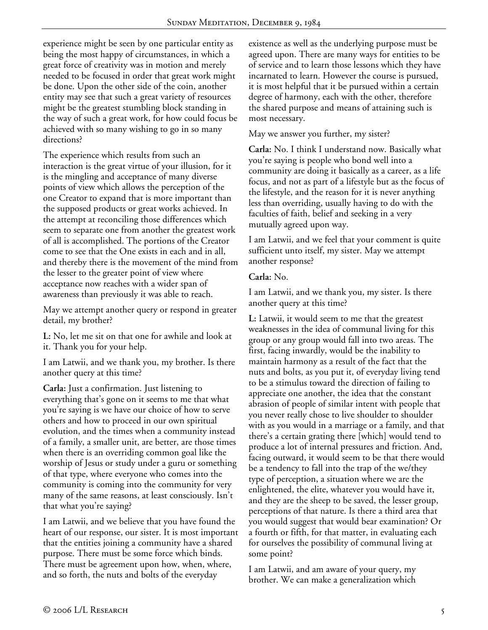experience might be seen by one particular entity as being the most happy of circumstances, in which a great force of creativity was in motion and merely needed to be focused in order that great work might be done. Upon the other side of the coin, another entity may see that such a great variety of resources might be the greatest stumbling block standing in the way of such a great work, for how could focus be achieved with so many wishing to go in so many directions?

The experience which results from such an interaction is the great virtue of your illusion, for it is the mingling and acceptance of many diverse points of view which allows the perception of the one Creator to expand that is more important than the supposed products or great works achieved. In the attempt at reconciling those differences which seem to separate one from another the greatest work of all is accomplished. The portions of the Creator come to see that the One exists in each and in all, and thereby there is the movement of the mind from the lesser to the greater point of view where acceptance now reaches with a wider span of awareness than previously it was able to reach.

May we attempt another query or respond in greater detail, my brother?

**L:** No, let me sit on that one for awhile and look at it. Thank you for your help.

I am Latwii, and we thank you, my brother. Is there another query at this time?

**Carla:** Just a confirmation. Just listening to everything that's gone on it seems to me that what you're saying is we have our choice of how to serve others and how to proceed in our own spiritual evolution, and the times when a community instead of a family, a smaller unit, are better, are those times when there is an overriding common goal like the worship of Jesus or study under a guru or something of that type, where everyone who comes into the community is coming into the community for very many of the same reasons, at least consciously. Isn't that what you're saying?

I am Latwii, and we believe that you have found the heart of our response, our sister. It is most important that the entities joining a community have a shared purpose. There must be some force which binds. There must be agreement upon how, when, where, and so forth, the nuts and bolts of the everyday

existence as well as the underlying purpose must be agreed upon. There are many ways for entities to be of service and to learn those lessons which they have incarnated to learn. However the course is pursued, it is most helpful that it be pursued within a certain degree of harmony, each with the other, therefore the shared purpose and means of attaining such is most necessary.

#### May we answer you further, my sister?

**Carla:** No. I think I understand now. Basically what you're saying is people who bond well into a community are doing it basically as a career, as a life focus, and not as part of a lifestyle but as the focus of the lifestyle, and the reason for it is never anything less than overriding, usually having to do with the faculties of faith, belief and seeking in a very mutually agreed upon way.

I am Latwii, and we feel that your comment is quite sufficient unto itself, my sister. May we attempt another response?

#### **Carla:** No.

I am Latwii, and we thank you, my sister. Is there another query at this time?

**L:** Latwii, it would seem to me that the greatest weaknesses in the idea of communal living for this group or any group would fall into two areas. The first, facing inwardly, would be the inability to maintain harmony as a result of the fact that the nuts and bolts, as you put it, of everyday living tend to be a stimulus toward the direction of failing to appreciate one another, the idea that the constant abrasion of people of similar intent with people that you never really chose to live shoulder to shoulder with as you would in a marriage or a family, and that there's a certain grating there [which] would tend to produce a lot of internal pressures and friction. And, facing outward, it would seem to be that there would be a tendency to fall into the trap of the we/they type of perception, a situation where we are the enlightened, the elite, whatever you would have it, and they are the sheep to be saved, the lesser group, perceptions of that nature. Is there a third area that you would suggest that would bear examination? Or a fourth or fifth, for that matter, in evaluating each for ourselves the possibility of communal living at some point?

I am Latwii, and am aware of your query, my brother. We can make a generalization which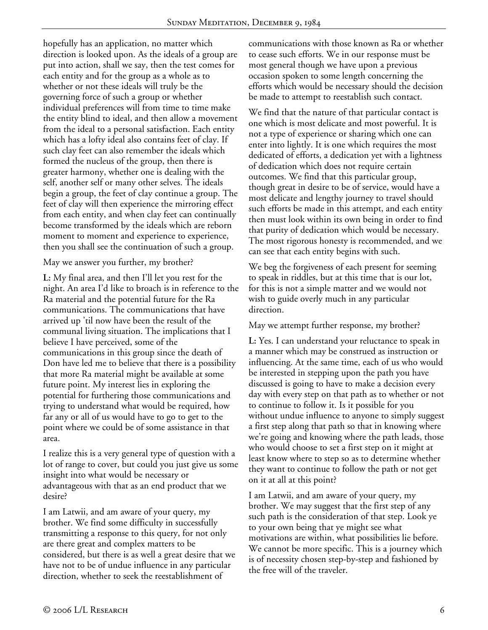hopefully has an application, no matter which direction is looked upon. As the ideals of a group are put into action, shall we say, then the test comes for each entity and for the group as a whole as to whether or not these ideals will truly be the governing force of such a group or whether individual preferences will from time to time make the entity blind to ideal, and then allow a movement from the ideal to a personal satisfaction. Each entity which has a lofty ideal also contains feet of clay. If such clay feet can also remember the ideals which formed the nucleus of the group, then there is greater harmony, whether one is dealing with the self, another self or many other selves. The ideals begin a group, the feet of clay continue a group. The feet of clay will then experience the mirroring effect from each entity, and when clay feet can continually become transformed by the ideals which are reborn moment to moment and experience to experience, then you shall see the continuation of such a group.

May we answer you further, my brother?

**L:** My final area, and then I'll let you rest for the night. An area I'd like to broach is in reference to the Ra material and the potential future for the Ra communications. The communications that have arrived up 'til now have been the result of the communal living situation. The implications that I believe I have perceived, some of the communications in this group since the death of Don have led me to believe that there is a possibility that more Ra material might be available at some future point. My interest lies in exploring the potential for furthering those communications and trying to understand what would be required, how far any or all of us would have to go to get to the point where we could be of some assistance in that area.

I realize this is a very general type of question with a lot of range to cover, but could you just give us some insight into what would be necessary or advantageous with that as an end product that we desire?

I am Latwii, and am aware of your query, my brother. We find some difficulty in successfully transmitting a response to this query, for not only are there great and complex matters to be considered, but there is as well a great desire that we have not to be of undue influence in any particular direction, whether to seek the reestablishment of

communications with those known as Ra or whether to cease such efforts. We in our response must be most general though we have upon a previous occasion spoken to some length concerning the efforts which would be necessary should the decision be made to attempt to reestablish such contact.

We find that the nature of that particular contact is one which is most delicate and most powerful. It is not a type of experience or sharing which one can enter into lightly. It is one which requires the most dedicated of efforts, a dedication yet with a lightness of dedication which does not require certain outcomes. We find that this particular group, though great in desire to be of service, would have a most delicate and lengthy journey to travel should such efforts be made in this attempt, and each entity then must look within its own being in order to find that purity of dedication which would be necessary. The most rigorous honesty is recommended, and we can see that each entity begins with such.

We beg the forgiveness of each present for seeming to speak in riddles, but at this time that is our lot, for this is not a simple matter and we would not wish to guide overly much in any particular direction.

May we attempt further response, my brother?

**L:** Yes. I can understand your reluctance to speak in a manner which may be construed as instruction or influencing. At the same time, each of us who would be interested in stepping upon the path you have discussed is going to have to make a decision every day with every step on that path as to whether or not to continue to follow it. Is it possible for you without undue influence to anyone to simply suggest a first step along that path so that in knowing where we're going and knowing where the path leads, those who would choose to set a first step on it might at least know where to step so as to determine whether they want to continue to follow the path or not get on it at all at this point?

I am Latwii, and am aware of your query, my brother. We may suggest that the first step of any such path is the consideration of that step. Look ye to your own being that ye might see what motivations are within, what possibilities lie before. We cannot be more specific. This is a journey which is of necessity chosen step-by-step and fashioned by the free will of the traveler.